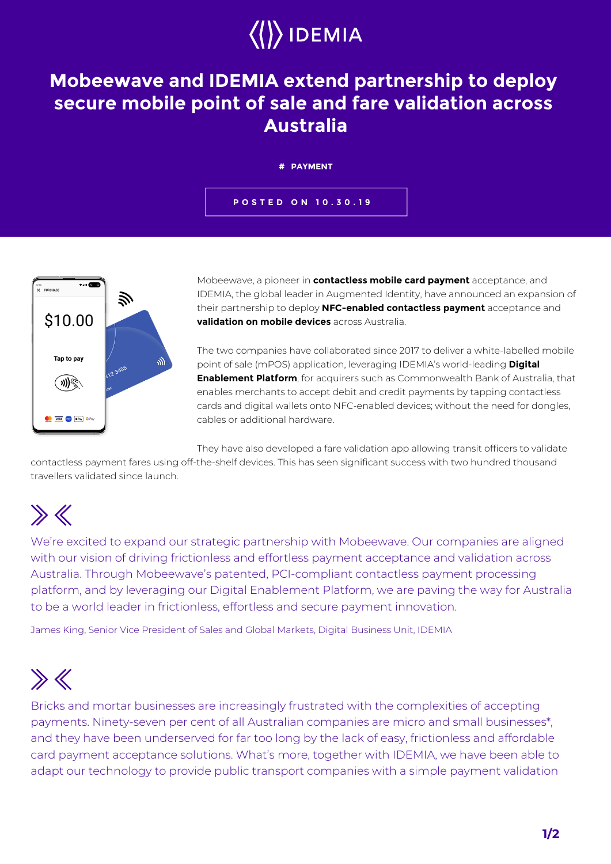# $\langle \rangle$ IDEMIA

### **Mobeewave and IDEMIA extend partnership to deploy secure mobile point of sale and fare validation across Australia**

#### **# PAYMENT**

**POSTED ON 10.30.19**



Mobeewave, a pioneer in **contactless mobile card payment** acceptance, and IDEMIA, the global leader in Augmented Identity, have announced an expansion of their partnership to deploy **NFC-enabled contactless payment** acceptance and **validation on mobile devices** across Australia.

The two companies have collaborated since 2017 to deliver a white-labelled mobile point of sale (mPOS) application, leveraging IDEMIA's world-leading **Digital Enablement Platform**, for acquirers such as Commonwealth Bank of Australia, that enables merchants to accept debit and credit payments by tapping contactless cards and digital wallets onto NFC-enabled devices; without the need for dongles, cables or additional hardware.

They have also developed a fare validation app allowing transit officers to validate

contactless payment fares using off-the-shelf devices. This has seen significant success with two hundred thousand travellers validated since launch.

# $\gg K$

We're excited to expand our strategic partnership with Mobeewave. Our companies are aligned with our vision of driving frictionless and effortless payment acceptance and validation across Australia. Through Mobeewave's patented, PCI-compliant contactless payment processing platform, and by leveraging our Digital Enablement Platform, we are paving the way for Australia to be a world leader in frictionless, effortless and secure payment innovation.

James King, Senior Vice President of Sales and Global Markets, Digital Business Unit, IDEMIA

## $\gg K$

Bricks and mortar businesses are increasingly frustrated with the complexities of accepting payments. Ninety-seven per cent of all Australian companies are micro and small businesses\*, and they have been underserved for far too long by the lack of easy, frictionless and affordable card payment acceptance solutions. What's more, together with IDEMIA, we have been able to adapt our technology to provide public transport companies with a simple payment validation